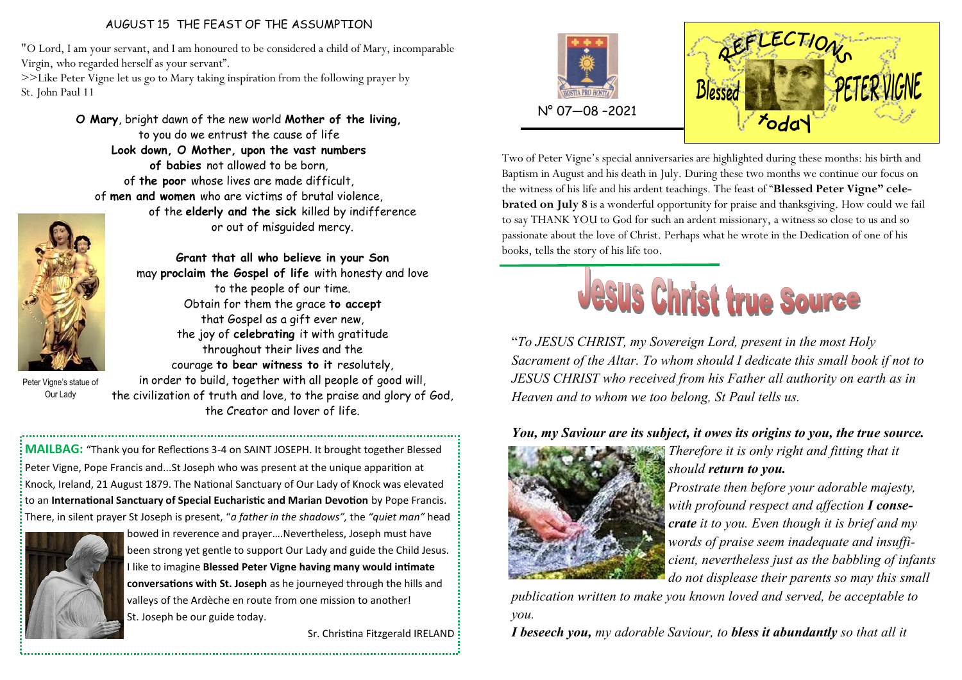## AUGUST 15 THE FEAST OF THE ASSUMPTION

"O Lord, I am your servant, and I am honoured to be considered a child of Mary, incomparable Virgin, who regarded herself as your servant".

>>Like Peter Vigne let us go to Mary taking inspiration from the following prayer by St. John Paul 11

> **O Mary**, bright dawn of the new world **Mother of the living,**  to you do we entrust the cause of life **Look down, O Mother, upon the vast numbers of babies** not allowed to be born, of **the poor** whose lives are made difficult, of **men and women** who are victims of brutal violence, of the **elderly and the sick** killed by indifference



**Grant that all who believe in your Son**  may **proclaim the Gospel of life** with honesty and love to the people of our time. Obtain for them the grace **to accept**  that Gospel as a gift ever new, the joy of **celebrating** it with gratitude throughout their lives and the courage **to bear witness to it** resolutely,

or out of misguided mercy.

Peter Vigne's statue of Our Lady

in order to build, together with all people of good will, the civilization of truth and love, to the praise and glory of God, the Creator and lover of life.

**MAILBAG:** "Thank you for Reflections 3-4 on SAINT JOSEPH. It brought together Blessed Peter Vigne, Pope Francis and...St Joseph who was present at the unique apparition at Knock, Ireland, 21 August 1879. The National Sanctuary of Our Lady of Knock was elevated to an **International Sanctuary of Special Eucharistic and Marian Devotion** by Pope Francis. There, in silent prayer St Joseph is present, "*a father in the shadows",* the *"quiet man"* head



bowed in reverence and prayer….Nevertheless, Joseph must have been strong yet gentle to support Our Lady and guide the Child Jesus. I like to imagine **Blessed Peter Vigne having many would intimate conversations with St. Joseph** as he journeyed through the hills and valleys of the Ardèche en route from one mission to another! St. Joseph be our guide today.

Sr. Christina Fitzgerald IRELAND





Two of Peter Vigne's special anniversaries are highlighted during these months: his birth and Baptism in August and his death in July. During these two months we continue our focus on the witness of his life and his ardent teachings. The feast of "**Blessed Peter Vigne" celebrated on July 8** is a wonderful opportunity for praise and thanksgiving. How could we fail to say THANK YOU to God for such an ardent missionary, a witness so close to us and so passionate about the love of Christ. Perhaps what he wrote in the Dedication of one of his books, tells the story of his life too.



"*To JESUS CHRIST, my Sovereign Lord, present in the most Holy Sacrament of the Altar. To whom should I dedicate this small book if not to JESUS CHRIST who received from his Father all authority on earth as in Heaven and to whom we too belong, St Paul tells us.*

## *You, my Saviour are its subject, it owes its origins to you, the true source.*



*Therefore it is only right and fitting that it should return to you.* 

*Prostrate then before your adorable majesty, with profound respect and affection I consecrate it to you. Even though it is brief and my words of praise seem inadequate and insufficient, nevertheless just as the babbling of infants do not displease their parents so may this small* 

*publication written to make you known loved and served, be acceptable to you.* 

*I beseech you, my adorable Saviour, to bless it abundantly so that all it*